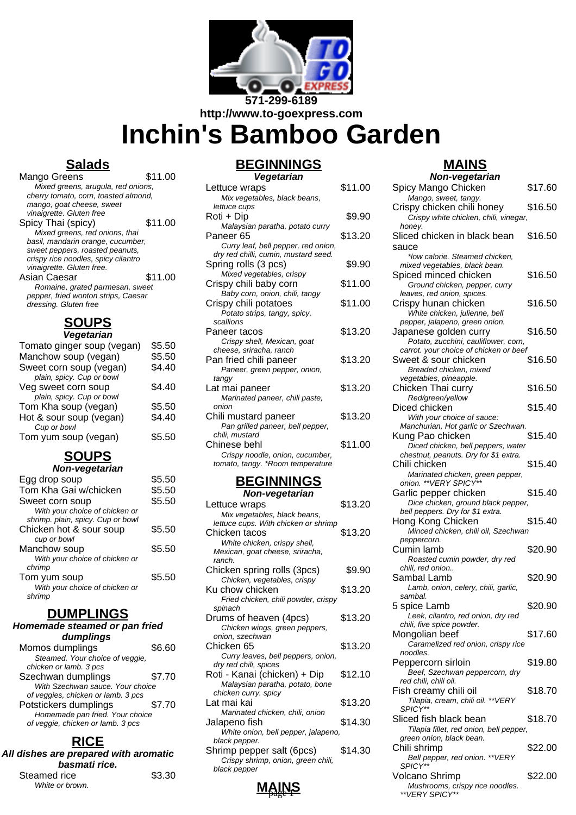

**http://www.to-goexpress.com**

# **Inchin's Bamboo Garden**

## **Salads**

| Mango Greens                         | \$11.00 |
|--------------------------------------|---------|
| Mixed greens, arugula, red onions,   |         |
| cherry tomato, corn, toasted almond, |         |
| mango, goat cheese, sweet            |         |
| vinaigrette. Gluten free             |         |
| Spicy Thai (spicy)                   | \$11.00 |
| Mixed greens, red onions, thai       |         |
| basil, mandarin orange, cucumber,    |         |
| sweet peppers, roasted peanuts,      |         |
| crispy rice noodles, spicy cilantro  |         |
| vinaigrette. Gluten free.            |         |
| Asian Caesar                         | \$11.00 |
| Romaine, grated parmesan, sweet      |         |
| pepper, fried wonton strips, Caesar  |         |
| dressing. Gluten free                |         |
|                                      |         |

#### <u>זטענ</u> **Vegetarian**

| v <del>c</del> yclariani   |        |
|----------------------------|--------|
| Tomato ginger soup (vegan) | \$5.50 |
| Manchow soup (vegan)       | \$5.50 |
| Sweet corn soup (vegan)    | \$4.40 |
| plain, spicy. Cup or bowl  |        |
| Veg sweet corn soup        | \$4.40 |
| plain, spicy. Cup or bowl  |        |
| Tom Kha soup (vegan)       | \$5.50 |
| Hot & sour soup (vegan)    | \$4.40 |
| Cup or bowl                |        |
| Tom yum soup (vegan)       | \$5.50 |
|                            |        |

## **SOUPS**

| Non-vegetarian |  |
|----------------|--|
|----------------|--|

| Egg drop soup                     | \$5.50 |
|-----------------------------------|--------|
| Tom Kha Gai w/chicken             | \$5.50 |
| Sweet corn soup                   | \$5.50 |
| With your choice of chicken or    |        |
| shrimp. plain, spicy. Cup or bowl |        |
| Chicken hot & sour soup           | \$5.50 |
| cup or bowl                       |        |
| Manchow soup                      | \$5.50 |
| With your choice of chicken or    |        |
| chrimp                            |        |
| Tom yum soup                      | \$5.50 |
| With your choice of chicken or    |        |
| shrimp                            |        |
|                                   |        |

#### **DUMPLINGS**

#### **Homemade steamed or pan fried dumplings**

| Momos dumplings                    | \$6.60 |
|------------------------------------|--------|
| Steamed. Your choice of veggie,    |        |
| chicken or lamb. 3 pcs             |        |
| Szechwan dumplings                 | \$7.70 |
| With Szechwan sauce. Your choice   |        |
| of veggies, chicken or lamb. 3 pcs |        |
| Potstickers dumplings              | \$7.70 |
| Homemade pan fried. Your choice    |        |
| of veggie, chicken or lamb. 3 pcs  |        |
|                                    |        |

# **RICE**

| All dishes are prepared with aromatic<br>basmati rice. |        |
|--------------------------------------------------------|--------|
| Steamed rice                                           | \$3.30 |
| White or brown.                                        |        |

## **BEGINNINGS**

| Vegetarian                           |         |
|--------------------------------------|---------|
| Lettuce wraps                        | \$11.00 |
| Mix vegetables, black beans,         |         |
| lettuce cups                         |         |
| Roti + Dip                           | \$9.90  |
| Malaysian paratha, potato curry      |         |
| Paneer 65                            | \$13.20 |
| Curry leaf, bell pepper, red onion,  |         |
| dry red chilli, cumin, mustard seed. |         |
| Spring rolls (3 pcs)                 | \$9.90  |
| Mixed vegetables, crispy             |         |
| Crispy chili baby corn               | \$11.00 |
| Baby corn, onion, chili, tangy       |         |
| Crispy chili potatoes                | \$11.00 |
| Potato strips, tangy, spicy,         |         |
| scallions                            |         |
| Paneer tacos                         | \$13.20 |
| Crispy shell, Mexican, goat          |         |
| cheese, sriracha, ranch              |         |
| Pan fried chili paneer               | \$13.20 |
| Paneer, green pepper, onion,         |         |
| tangy                                |         |
| Lat mai paneer                       | \$13.20 |
| Marinated paneer, chili paste,       |         |
| onion                                |         |
| Chili mustard paneer                 | \$13.20 |
| Pan grilled paneer, bell pepper,     |         |
| chili, mustard                       |         |
| Chinese behl                         | \$11.00 |
| Crispy noodle, onion, cucumber,      |         |
| tomato, tangy. *Room temperature     |         |

# **BEGINNINGS**

| Non-vegetarian                                                  |         |
|-----------------------------------------------------------------|---------|
| Lettuce wraps                                                   | \$13.20 |
| Mix vegetables, black beans,                                    |         |
| lettuce cups. With chicken or shrimp                            |         |
| Chicken tacos                                                   | \$13.20 |
| White chicken, crispy shell,                                    |         |
| Mexican, goat cheese, sriracha,                                 |         |
| ranch.                                                          |         |
| Chicken spring rolls (3pcs)                                     | \$9.90  |
| Chicken, vegetables, crispy<br>Ku chow chicken                  | \$13.20 |
| Fried chicken, chili powder, crispy                             |         |
| spinach                                                         |         |
| Drums of heaven (4pcs)                                          | \$13.20 |
| Chicken wings, green peppers,                                   |         |
| onion, szechwan                                                 |         |
| Chicken 65                                                      | \$13.20 |
| Curry leaves, bell peppers, onion,                              |         |
| dry red chili, spices                                           |         |
| Roti - Kanai (chicken) + Dip                                    | \$12.10 |
| Malaysian paratha, potato, bone                                 |         |
| chicken curry. spicy                                            |         |
| Lat mai kai                                                     | \$13.20 |
| Marinated chicken, chili, onion                                 |         |
| Jalapeno fish                                                   | \$14.30 |
| White onion, bell pepper, jalapeno,<br>black pepper.            |         |
|                                                                 | \$14.30 |
| Shrimp pepper salt (6pcs)<br>Crispy shrimp, onion, green chili, |         |
| black pepper                                                    |         |
|                                                                 |         |

#### **Non-vegetarian** Spicy Mango Chicken \$17.60 Mango, sweet, tangy. Crispy chicken chili honey \$16.50 Crispy white chicken, chili, vinegar, honey. Sliced chicken in black bean sauce \$16.50 \*low calorie. Steamed chicken, mixed vegetables, black bean. Spiced minced chicken \$16.50 Ground chicken, pepper, curry leaves, red onion, spices. Crispy hunan chicken \$16.50 White chicken, julienne, bell pepper, jalapeno, green onion. Japanese golden curry \$16.50 Potato, zucchini, cauliflower, corn, carrot. your choice of chicken or beef Sweet & sour chicken \$16.50 Breaded chicken, mixed vegetables, pineapple. Chicken Thai curry \$16.50 Red/green/yellow Diced chicken \$15.40 With your choice of sauce: Manchurian, Hot garlic or Szechwan. Kung Pao chicken \$15.40 Diced chicken, bell peppers, water chestnut, peanuts. Dry for \$1 extra. Chili chicken \$15.40 Marinated chicken, green pepper, onion. \*\*VERY SPICY\*\* Garlic pepper chicken \$15.40 Dice chicken, ground black pepper, bell peppers. Dry for \$1 extra. Hong Kong Chicken \$15.40 Minced chicken, chili oil, Szechwan peppercorn. Cumin lamb \$20.90 Roasted cumin powder, dry red chili, red onion.. Sambal Lamb \$20.90 Lamb, onion, celery, chili, garlic, sambal. 5 spice Lamb \$20.90 Leek, cilantro, red onion, dry red chili, five spice powder. Mongolian beef \$17.60 Caramelized red onion, crispy rice noodles. Peppercorn sirloin \$19.80 Beef, Szechwan peppercorn, dry red chili, chili oil. Fish creamy chili oil  $$18.70$ Tilapia, cream, chili oil. \*\*VERY SPICY\*\* Sliced fish black bean \$18.70 Tilapia fillet, red onion, bell pepper, green onion, black bean. Chili shrimp \$22.00 Bell pepper, red onion. \*\*VERY

Volcano Shrimp  $$22.00$ Mushrooms, crispy rice noodles.

SPICY<sup>\*</sup>

\*\*VERY SPICY\*\*

**MAINS**